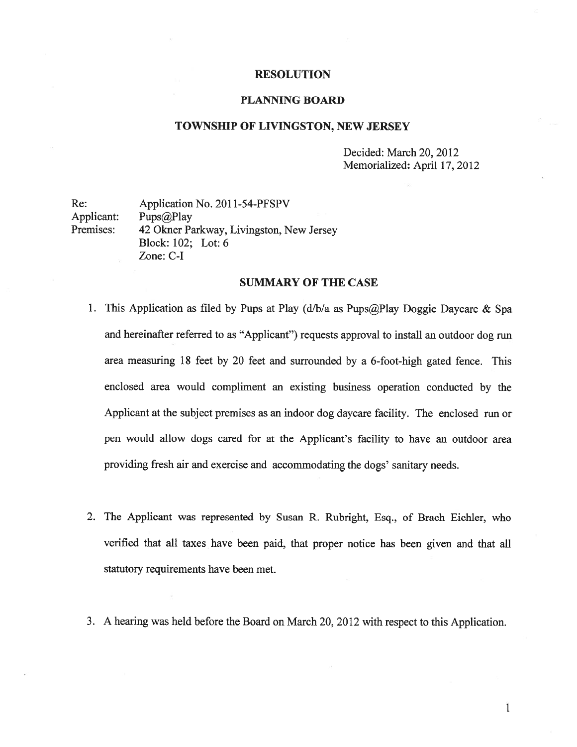#### RESOLUTION

### PLANNING BOARD

### TOWNSHIP OF LIVINGSTON, NEW JERSEY

Decided: March 20, 2012 Memorialized: April 17, 2012

Re: Application No. 2011-54-PFSPV Applicant: Pups@Play<br>Premises: 42 Okner Pa 42 Okner Parkway, Livingston, New Jersey Block: 102; Lot: 6 Zone: C-I

### SUMMARY OF THE CASE

- 1. This Application as filed by Pups at Play  $(d/b/a)$  as Pups $@$ Play Doggie Daycare & Spa and hereinafter referred to as "Applicant") requests approva<sup>l</sup> to install an outdoor dog run area measuring 18 feet by 20 feet and surrounded by <sup>a</sup> 6-foot-high gated fence. This enclosed area would compliment an existing business operation conducted by the Applicant at the subject premises as an indoor dog daycare facility. The enclosed run or pen would allow dogs cared for at the Applicant's facility to have an outdoor area providing fresh air and exercise and accommodating the dogs' sanitary needs.
- 2. The Applicant was represented by Susan R. Rubright, Esq., of Brach Eichler, who verified that all taxes have been paid, that proper notice has been <sup>g</sup>iven and that all statutory requirements have been met.
- 3. <sup>A</sup> hearing was held before the Board on March 20, 2012 with respec<sup>t</sup> to this Application.

 $\mathbf{1}$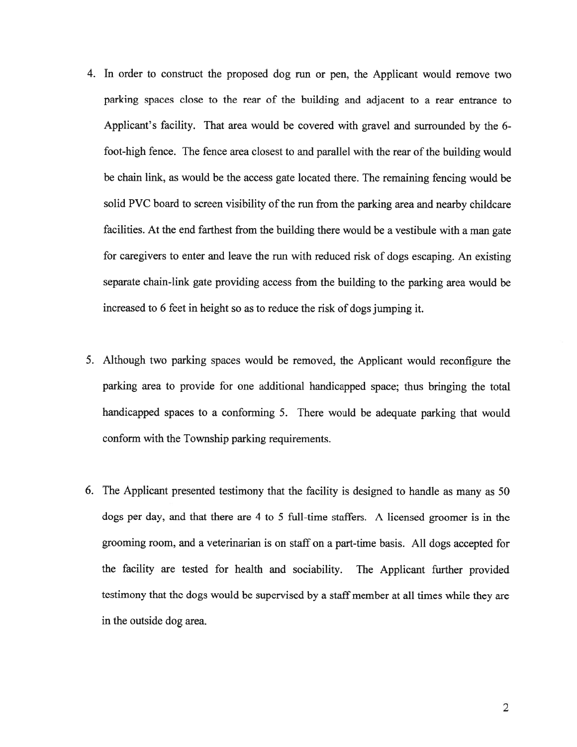- 4. In order to construct the proposed dog run or pen, the Applicant would remove two parking spaces close to the rear of the building and adjacent to <sup>a</sup> rear entrance to Applicant's facility. That area would be covered with grave<sup>l</sup> and surrounded by the 6 foot-high fence. The fence area closest to and parallel with the rear of the building would be chain link, as would be the access gate located there. The remaining fencing would be solid PVC board to screen visibility of the run from the parking area and nearby childcare facilities. At the end farthest from the building there would be <sup>a</sup> vestibule with <sup>a</sup> man gate for caregivers to enter and leave the run with reduced risk of dogs escaping. An existing separate chain-link gate providing access from the building to the parking area would be increased to <sup>6</sup> feet in height so as to reduce the risk of dogs jumping it.
- 5. Although two parking spaces would be removed, the Applicant would reconfigure the parking area to provide for one additional handicapped space; thus bringing the total handicapped spaces to <sup>a</sup> conforming 5. There would be adequate parking that would conform with the Township parking requirements.
- 6. The Applicant presented testimony that the facility is designed to handle as many as 50 dogs per day, and that there are <sup>4</sup> to 5 full-time staffers. <sup>A</sup> licensed groomer is in the grooming room, and <sup>a</sup> veterinarian is on staff on <sup>a</sup> part-time basis. All dogs accepted for the facility are tested for health and sociability. The Applicant further provided testimony that the dogs would be supervised by <sup>a</sup> staff member at all times while they are in the outside dog area.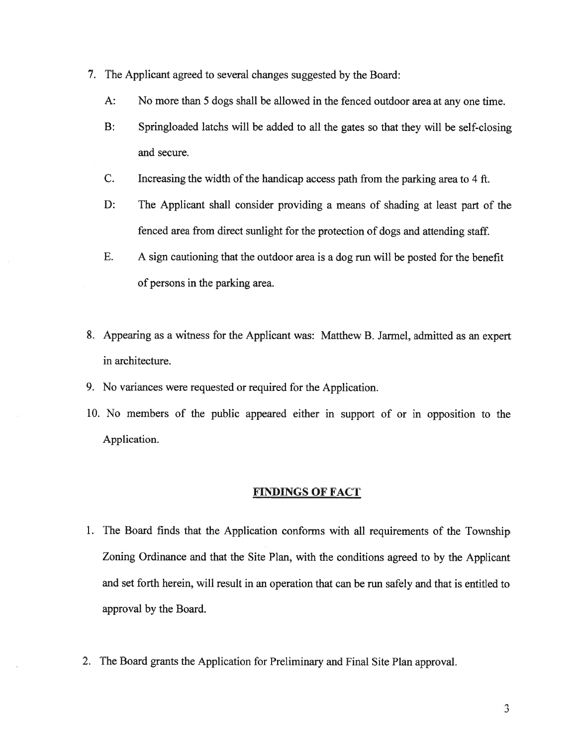- 7. The Applicant agreed to several changes suggested by the Board:
	- A: No more than 5 dogs shall be allowed in the fenced outdoor area at any one time.
	- B: Springloaded latchs will be added to all the gates so that they will be self-closing and secure.
	- C. Increasing the width of the handicap access path from the parking area to 4 ft.
	- D: The Applicant shall consider providing <sup>a</sup> means of shading at least par<sup>t</sup> of the fenced area from direct sunlight for the protection of dogs and attending staff.
	- E. A sign cautioning that the outdoor area is <sup>a</sup> dog run will be posted for the benefit of persons in the parking area.
- 8. Appearing as <sup>a</sup> witness for the Applicant was: Matthew B. Jarmel, admitted as an exper<sup>t</sup> in architecture.
- 9. No variances were requested or required for the Application.
- 10. No members of the public appeared either in suppor<sup>t</sup> of or in opposition to the Application.

### FINDINGS OF FACT

- 1. The Board finds that the Application conforms with all requirements of the Township Zoning Ordinance and that the Site Plan, with the conditions agreed to by the Applicant and set forth herein, will result in an operation that can be run safely and that is entitled to approval by the Board.
- 2. The Board grants the Application for Preliminary and Final Site Plan approval.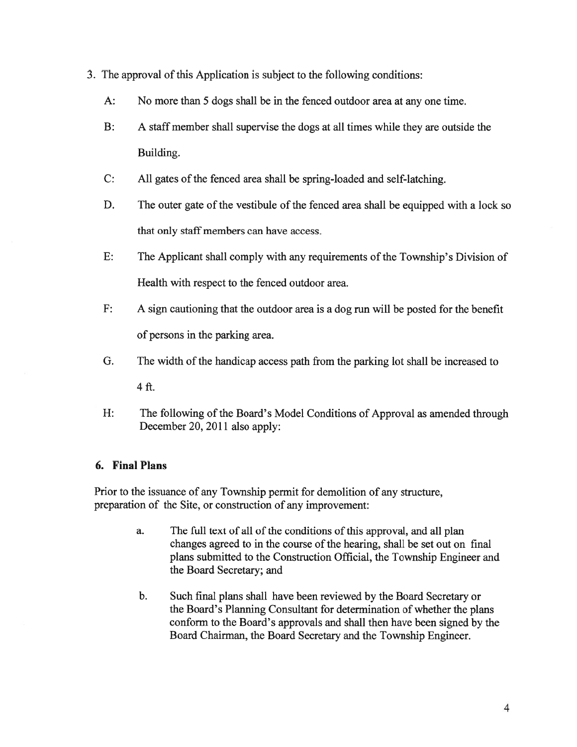- 3. The approval of this Application is subject to the following conditions:
	- A: No more than 5 dogs shall be in the fenced outdoor area at any one time.
	- B: A staff member shall supervise the dogs at all times while they are outside the Building.
	- C: All gates of the fenced area shall be spring-loaded and self-latching.
	- D. The outer gate of the vestibule of the fenced area shall be equipped with <sup>a</sup> lock so that only staff members can have access.
	- E: The Applicant shall comply with any requirements of the Township's Division of Health with respec<sup>t</sup> to the fenced outdoor area.
	- F: A sign cautioning that the outdoor area is <sup>a</sup> dog run will be posted for the benefit of persons in the parking area.
	- G. The width of the handicap access path from the parking lot shall be increased to

4ft.

H: The following of the Board's Model Conditions of Approval as amended through December 20, 2011 also apply:

# 6. Final Plans

Prior to the issuance of any Township permit for demolition of any structure, preparation of the Site, or construction of any improvement:

- a. The full text of all of the conditions of this approval, and all plan changes agreed to in the course of the hearing, shall be set out on final plans submitted to the Construction Official, the Township Engineer and the Board Secretary; and
- b. Such final plans shall have been reviewed by the Board Secretary or the Board's Planning Consultant for determination of whether the plans conform to the Board's approvals and shall then have been signed by the Board Chairman, the Board Secretary and the Township Engineer.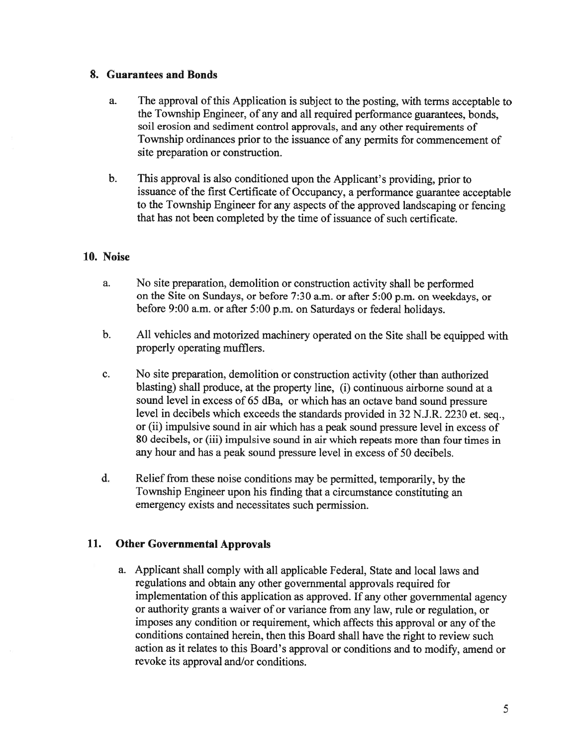# 8. Guarantees and Bonds

- a. The approval of this Application is subject to the posting, with terms acceptable to the Township Engineer, of any and all required performance guarantees, bonds, soil erosion and sediment control approvals, and any other requirements of Township ordinances prior to the issuance of any permits for commencement of site preparation or construction.
- b. This approva<sup>l</sup> is also conditioned upon the Applicant's providing, prior to issuance of the first Certificate of Occupancy, a performance guarantee acceptable to the Township Engineer for any aspects of the approved landscaping or fencing that has not been completed by the time of issuance of such certificate.

# 10. Noise

- a. No site preparation, demolition or construction activity shall be performed on the Site on Sundays, or before 7:30 a.m. or after 5:00 p.m. on weekdays, or before 9:00 a.m. or after 5:00 p.m. on Saturdays or federal holidays.
- b. All vehicles and motorized machinery operated on the Site shall be equipped with properly operating mufflers.
- c. No site preparation, demolition or construction activity (other than authorized blasting) shall produce, at the property line, (i) continuous airborne sound at <sup>a</sup> sound level in excess of <sup>65</sup> dBa, or which has an octave band sound pressure level in decibels which exceeds the standards provided in <sup>32</sup> N.J.R. <sup>2230</sup> et. seq., or (ii) impulsive sound in air which has <sup>a</sup> peak sound pressure level in excess of 80 decibels, or (iii) impulsive sound in air which repeats more than four times in any hour and has <sup>a</sup> peak sound pressure level in excess of 50 decibels.
- d. Relief from these noise conditions may be permitted, temporarily, by the Township Engineer upon his finding that <sup>a</sup> circumstance constituting an emergency exists and necessitates such permission.

# 11. Other Governmental Approvals

a. Applicant shall comply with all applicable Federal, State and local laws and regulations and obtain any other governmental approvals required for implementation of this application as approved. If any other governmental agency or authority grants <sup>a</sup> waiver of or variance from any law, rule or regulation, or imposes any condition or requirement, which affects this approval or any of the conditions contained herein, then this Board shall have the right to review such action as it relates to this Board's approva<sup>l</sup> or conditions and to modify, amend or revoke its approval and/or conditions.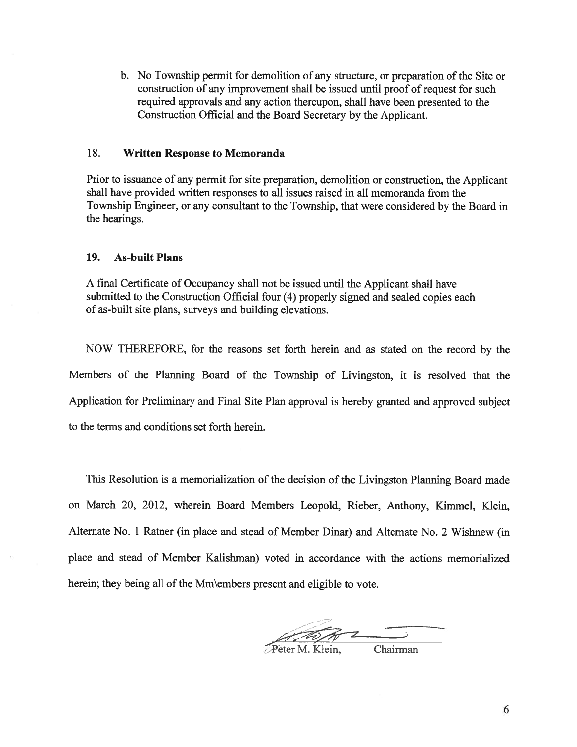b. No Township permit for demolition of any structure, or preparation of the Site or construction of any improvement shall be issued until proof of reques<sup>t</sup> for such required approvals and any action thereupon, shall have been presented to the Construction Official and the Board Secretary by the Applicant.

### 18. Written Response to Memoranda

Prior to issuance of any permit for site preparation, demolition or construction, the Applicant shall have provided written responses to all issues raised in all memoranda from the Township Engineer, or any consultant to the Township, that were considered by the Board in the hearings.

### 19. As-built Plans

<sup>A</sup> final Certificate of Occupancy shall not be issued until the Applicant shall have submitted to the Construction Official four (4) properly signed and sealed copies each of as-built site plans, surveys and building elevations.

NOW THEREFORE, for the reasons set forth herein and as stated on the record by the Members of the Planning Board of the Township of Livingston, it is resolved that the Application for Preliminary and Final Site Plan approva<sup>l</sup> is hereby granted and approve<sup>d</sup> subject to the terms and conditions set forth herein.

This Resolution is <sup>a</sup> memorialization of the decision of the Livingston Planning Board made on March 20, 2012, wherein Board Members Leopold, Rieber, Anthony, Kimmel, Klein, Alternate No. 1 Ratner (in place and stead of Member Dinar) and Alternate No. 2 Wishnew (in place and stead of Member Kalishman) voted in accordance with the actions memorialized herein; they being all of the Mm\embers present and eligible to vote.

--7

Chairman